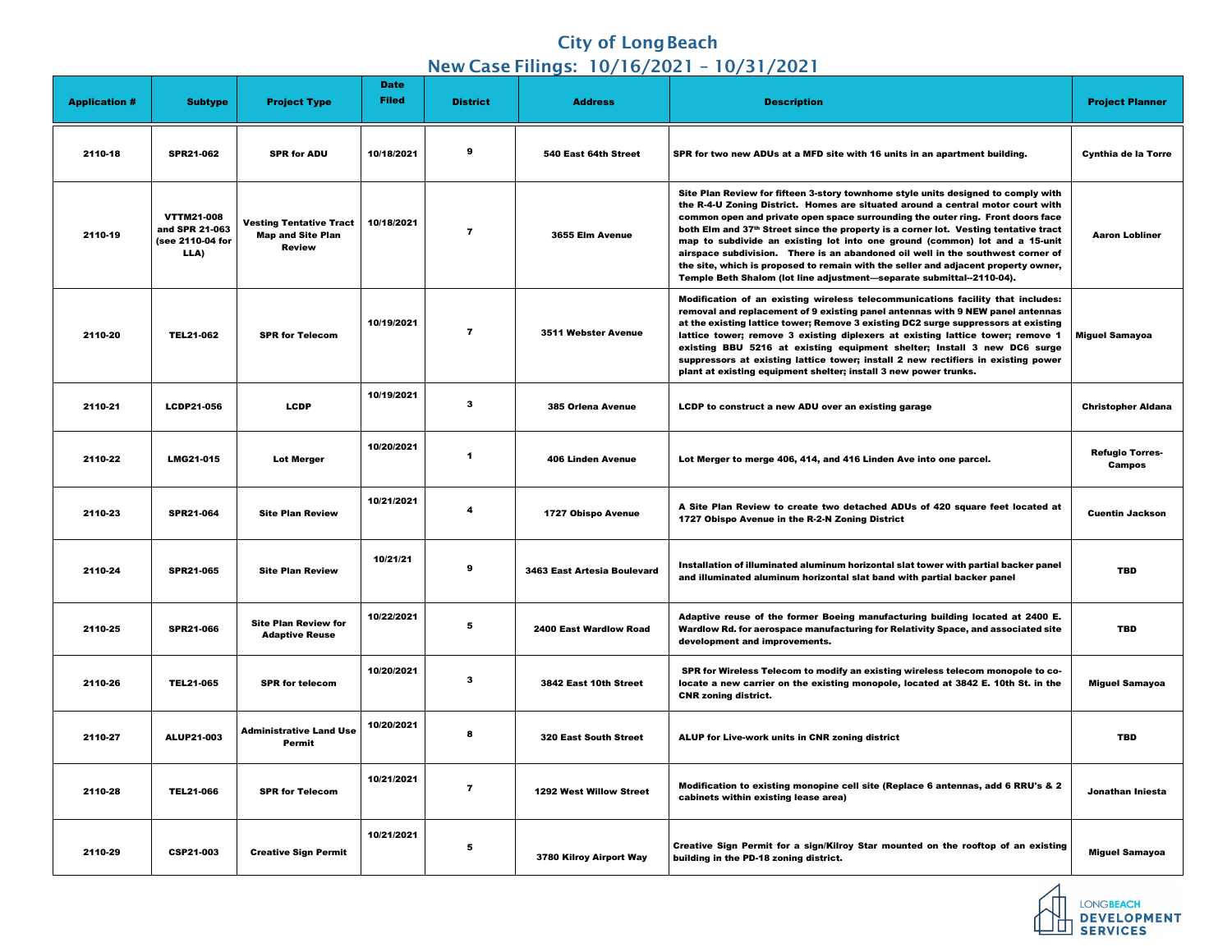## **City of Long Beach** New Case Filings: 10/16/2021 – 10/31/2021

| <b>Application #</b> | <b>Subtype</b>                                                  | <b>Project Type</b>                                                         | <b>Date</b><br><b>Filed</b> | <b>District</b>         | <b>Address</b>                     | <b>Description</b>                                                                                                                                                                                                                                                                                                                                                                                                                                                                                                                                                                                                                                                               | <b>Project Planner</b>                  |
|----------------------|-----------------------------------------------------------------|-----------------------------------------------------------------------------|-----------------------------|-------------------------|------------------------------------|----------------------------------------------------------------------------------------------------------------------------------------------------------------------------------------------------------------------------------------------------------------------------------------------------------------------------------------------------------------------------------------------------------------------------------------------------------------------------------------------------------------------------------------------------------------------------------------------------------------------------------------------------------------------------------|-----------------------------------------|
| 2110-18              | <b>SPR21-062</b>                                                | <b>SPR for ADU</b>                                                          | 10/18/2021                  | 9                       | 540 East 64th Street               | SPR for two new ADUs at a MFD site with 16 units in an apartment building.                                                                                                                                                                                                                                                                                                                                                                                                                                                                                                                                                                                                       | <b>Cynthia de la Torre</b>              |
| 2110-19              | <b>VTTM21-008</b><br>and SPR 21-063<br>(see 2110-04 for<br>LLA) | <b>Vesting Tentative Tract</b><br><b>Map and Site Plan</b><br><b>Review</b> | 10/18/2021                  | 7                       | 3655 Elm Avenue                    | Site Plan Review for fifteen 3-story townhome style units designed to comply with<br>the R-4-U Zoning District. Homes are situated around a central motor court with<br>common open and private open space surrounding the outer ring. Front doors face<br>both Elm and 37th Street since the property is a corner lot. Vesting tentative tract<br>map to subdivide an existing lot into one ground (common) lot and a 15-unit<br>airspace subdivision. There is an abandoned oil well in the southwest corner of<br>the site, which is proposed to remain with the seller and adjacent property owner,<br>Temple Beth Shalom (lot line adjustment-separate submittal--2110-04). | <b>Aaron Lobliner</b>                   |
| 2110-20              | <b>TEL21-062</b>                                                | <b>SPR for Telecom</b>                                                      | 10/19/2021                  | 7                       | <b>3511 Webster Avenue</b>         | Modification of an existing wireless telecommunications facility that includes:<br>removal and replacement of 9 existing panel antennas with 9 NEW panel antennas<br>at the existing lattice tower; Remove 3 existing DC2 surge suppressors at existing<br>lattice tower; remove 3 existing diplexers at existing lattice tower; remove 1<br>existing BBU 5216 at existing equipment shelter; Install 3 new DC6 surge<br>suppressors at existing lattice tower; install 2 new rectifiers in existing power<br>plant at existing equipment shelter; install 3 new power trunks.                                                                                                   | <b>Miguel Samayoa</b>                   |
| 2110-21              | <b>LCDP21-056</b>                                               | <b>LCDP</b>                                                                 | 10/19/2021                  | -3                      | <b>385 Orlena Avenue</b>           | LCDP to construct a new ADU over an existing garage                                                                                                                                                                                                                                                                                                                                                                                                                                                                                                                                                                                                                              | <b>Christopher Aldana</b>               |
| 2110-22              | <b>LMG21-015</b>                                                | <b>Lot Merger</b>                                                           | 10/20/2021                  | -1                      | <b>406 Linden Avenue</b>           | Lot Merger to merge 406, 414, and 416 Linden Ave into one parcel.                                                                                                                                                                                                                                                                                                                                                                                                                                                                                                                                                                                                                | <b>Refugio Torres-</b><br><b>Campos</b> |
| 2110-23              | <b>SPR21-064</b>                                                | <b>Site Plan Review</b>                                                     | 10/21/2021                  | $\boldsymbol{4}$        | <b>1727 Obispo Avenue</b>          | A Site Plan Review to create two detached ADUs of 420 square feet located at<br>1727 Obispo Avenue in the R-2-N Zoning District                                                                                                                                                                                                                                                                                                                                                                                                                                                                                                                                                  | <b>Cuentin Jackson</b>                  |
| 2110-24              | <b>SPR21-065</b>                                                | <b>Site Plan Review</b>                                                     | 10/21/21                    | 9                       | <b>3463 East Artesia Boulevard</b> | Installation of illuminated aluminum horizontal slat tower with partial backer panel<br>and illuminated aluminum horizontal slat band with partial backer panel                                                                                                                                                                                                                                                                                                                                                                                                                                                                                                                  | <b>TBD</b>                              |
| 2110-25              | <b>SPR21-066</b>                                                | <b>Site Plan Review for</b><br><b>Adaptive Reuse</b>                        | 10/22/2021                  | -5                      | <b>2400 East Wardlow Road</b>      | Adaptive reuse of the former Boeing manufacturing building located at 2400 E.<br>Wardlow Rd. for aerospace manufacturing for Relativity Space, and associated site<br>development and improvements.                                                                                                                                                                                                                                                                                                                                                                                                                                                                              | <b>TBD</b>                              |
| 2110-26              | <b>TEL21-065</b>                                                | <b>SPR for telecom</b>                                                      | 10/20/2021                  | -3                      | 3842 East 10th Street              | SPR for Wireless Telecom to modify an existing wireless telecom monopole to co-<br>locate a new carrier on the existing monopole, located at 3842 E. 10th St. in the<br><b>CNR zoning district.</b>                                                                                                                                                                                                                                                                                                                                                                                                                                                                              | <b>Miguel Samayoa</b>                   |
| 2110-27              | <b>ALUP21-003</b>                                               | <b>Administrative Land Use</b><br>Permit                                    | 10/20/2021                  | 8                       | <b>320 East South Street</b>       | ALUP for Live-work units in CNR zoning district                                                                                                                                                                                                                                                                                                                                                                                                                                                                                                                                                                                                                                  | <b>TBD</b>                              |
| 2110-28              | <b>TEL21-066</b>                                                | <b>SPR for Telecom</b>                                                      | 10/21/2021                  | $\overline{\mathbf{7}}$ | <b>1292 West Willow Street</b>     | Modification to existing monopine cell site (Replace 6 antennas, add 6 RRU's & 2<br>cabinets within existing lease area)                                                                                                                                                                                                                                                                                                                                                                                                                                                                                                                                                         | Jonathan Iniesta                        |
| 2110-29              | <b>CSP21-003</b>                                                | <b>Creative Sign Permit</b>                                                 | 10/21/2021                  | -5                      | 3780 Kilroy Airport Way            | Creative Sign Permit for a sign/Kilroy Star mounted on the rooftop of an existing<br>building in the PD-18 zoning district.                                                                                                                                                                                                                                                                                                                                                                                                                                                                                                                                                      | <b>Miguel Samayoa</b>                   |